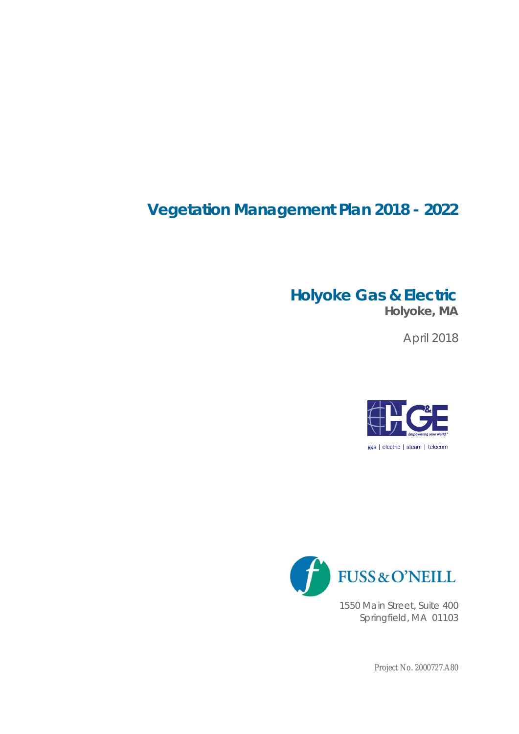# **Vegetation Management Plan 2018 - 2022**

# **Holyoke Gas & Electric**

**Holyoke, MA**

April 2018





1550 Main Street, Suite 400 Springfield, MA 01103

Project No. 2000727.A80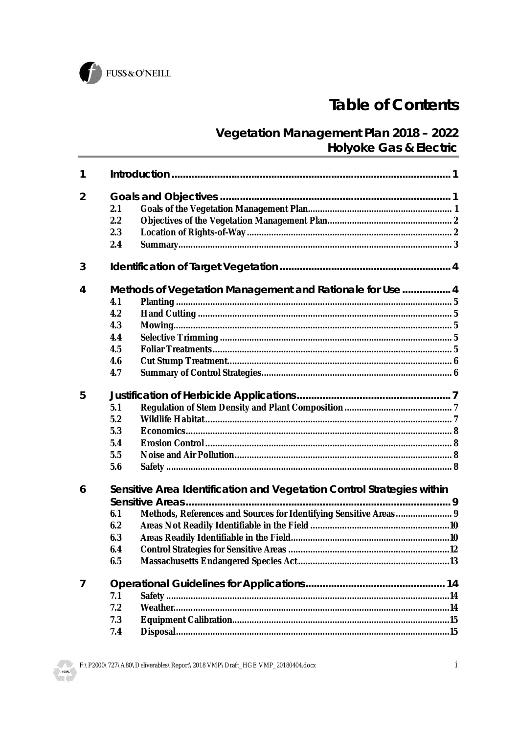

# **Table of Contents**

### Vegetation Management Plan 2018 - 2022 Holyoke Gas & Electric

| 1 |                                                                                                            |  |  |
|---|------------------------------------------------------------------------------------------------------------|--|--|
| 2 | 2.1<br>2.2<br>2.3<br>2.4                                                                                   |  |  |
| 3 |                                                                                                            |  |  |
| 4 | Methods of Vegetation Management and Rationale for Use  4<br>4.1<br>4.2<br>4.3<br>4.4<br>4.5<br>4.6<br>4.7 |  |  |
| 5 | 5.1<br>5.2<br>5.3<br>5.4<br>5.5<br>5.6                                                                     |  |  |
| 6 | Sensitive Area Identification and Vegetation Control Strategies within<br>6.1<br>6.2<br>6.3<br>6.4<br>6.5  |  |  |
| 7 | 7.1<br>7.2<br>7.3<br>7.4                                                                                   |  |  |



 $\mathbf{i}$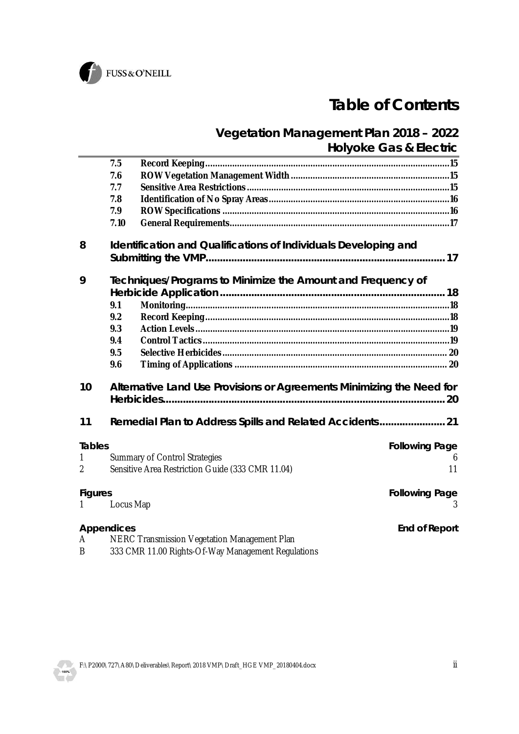

# **Table of Contents**

### **Vegetation Management Plan 2018 – 2022 Holyoke Gas & Electric**

|               | 7.5        |                                                                       |                       |  |  |
|---------------|------------|-----------------------------------------------------------------------|-----------------------|--|--|
|               | 7.6        |                                                                       |                       |  |  |
|               | 7.7        |                                                                       |                       |  |  |
|               | 7.8        |                                                                       |                       |  |  |
|               | 7.9        |                                                                       |                       |  |  |
|               | 7.10       |                                                                       |                       |  |  |
| 8             |            | Identification and Qualifications of Individuals Developing and       |                       |  |  |
| 9             |            | Techniques/Programs to Minimize the Amount and Frequency of           |                       |  |  |
|               |            |                                                                       |                       |  |  |
|               | 9.1        |                                                                       |                       |  |  |
|               | 9.2        |                                                                       |                       |  |  |
|               | 9.3        |                                                                       |                       |  |  |
|               | 9.4        |                                                                       |                       |  |  |
|               | 9.5        |                                                                       |                       |  |  |
|               | 9.6        |                                                                       |                       |  |  |
| 10            |            | Alternative Land Use Provisions or Agreements Minimizing the Need for |                       |  |  |
| 11            |            |                                                                       |                       |  |  |
| <b>Tables</b> |            |                                                                       | <b>Following Page</b> |  |  |
| 1             |            | <b>Summary of Control Strategies</b>                                  | 6                     |  |  |
| 2             |            | Sensitive Area Restriction Guide (333 CMR 11.04)                      | 11                    |  |  |
| Figures       |            |                                                                       | Following Page        |  |  |
| 1             | Locus Map  |                                                                       |                       |  |  |
|               | Appendices |                                                                       | End of Report         |  |  |
| A             |            | NERC Transmission Vegetation Management Plan                          |                       |  |  |
| <sub>B</sub>  |            | 333 CMR 11.00 Rights-Of-Way Management Regulations                    |                       |  |  |

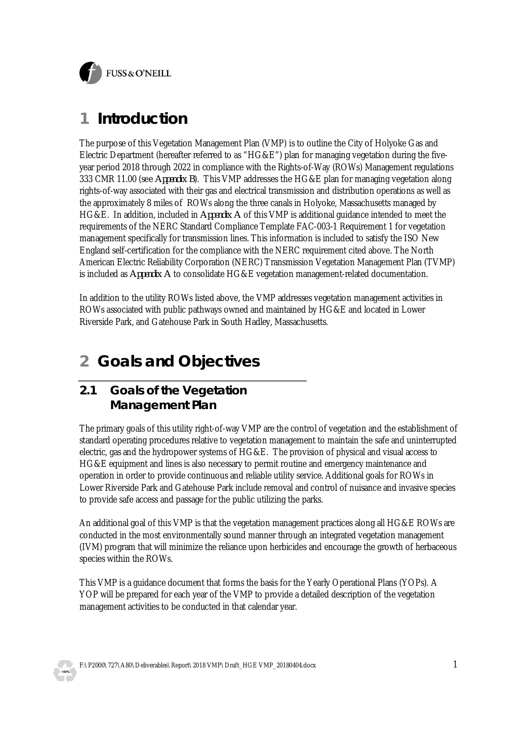

## **1 Introduction**

The purpose of this Vegetation Management Plan (VMP) is to outline the City of Holyoke Gas and Electric Department (hereafter referred to as "HG&E") plan for managing vegetation during the fiveyear period 2018 through 2022 in compliance with the Rights-of-Way (ROWs) Management regulations 333 CMR 11.00 (see *Appendix B*). This VMP addresses the HG&E plan for managing vegetation along rights-of-way associated with their gas and electrical transmission and distribution operations as well as the approximately 8 miles of ROWs along the three canals in Holyoke, Massachusetts managed by HG&E. In addition, included in *Appendix A* of this VMP is additional guidance intended to meet the requirements of the NERC Standard Compliance Template FAC-003-1 Requirement 1 for vegetation management specifically for transmission lines. This information is included to satisfy the ISO New England self-certification for the compliance with the NERC requirement cited above. The North American Electric Reliability Corporation (NERC) Transmission Vegetation Management Plan (TVMP) is included as *Appendix A* to consolidate HG&E vegetation management-related documentation.

In addition to the utility ROWs listed above, the VMP addresses vegetation management activities in ROWs associated with public pathways owned and maintained by HG&E and located in Lower Riverside Park, and Gatehouse Park in South Hadley, Massachusetts.

## **2 Goals and Objectives**

#### **2.1 Goals of the Vegetation Management Plan**

The primary goals of this utility right-of-way VMP are the control of vegetation and the establishment of standard operating procedures relative to vegetation management to maintain the safe and uninterrupted electric, gas and the hydropower systems of HG&E. The provision of physical and visual access to HG&E equipment and lines is also necessary to permit routine and emergency maintenance and operation in order to provide continuous and reliable utility service. Additional goals for ROWs in Lower Riverside Park and Gatehouse Park include removal and control of nuisance and invasive species to provide safe access and passage for the public utilizing the parks.

An additional goal of this VMP is that the vegetation management practices along all HG&E ROWs are conducted in the most environmentally sound manner through an integrated vegetation management (IVM) program that will minimize the reliance upon herbicides and encourage the growth of herbaceous species within the ROWs.

This VMP is a guidance document that forms the basis for the Yearly Operational Plans (YOPs). A YOP will be prepared for each year of the VMP to provide a detailed description of the vegetation management activities to be conducted in that calendar year.

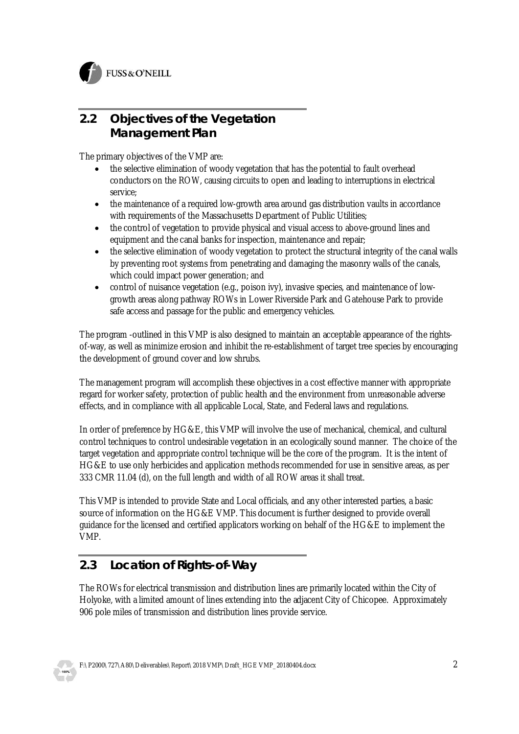

#### **2.2 Objectives of the Vegetation Management Plan**

The primary objectives of the VMP are:

- the selective elimination of woody vegetation that has the potential to fault overhead conductors on the ROW, causing circuits to open and leading to interruptions in electrical service;
- · the maintenance of a required low-growth area around gas distribution vaults in accordance with requirements of the Massachusetts Department of Public Utilities;
- the control of vegetation to provide physical and visual access to above-ground lines and equipment and the canal banks for inspection, maintenance and repair;
- · the selective elimination of woody vegetation to protect the structural integrity of the canal walls by preventing root systems from penetrating and damaging the masonry walls of the canals, which could impact power generation; and
- control of nuisance vegetation (e.g., poison ivy), invasive species, and maintenance of lowgrowth areas along pathway ROWs in Lower Riverside Park and Gatehouse Park to provide safe access and passage for the public and emergency vehicles.

The program -outlined in this VMP is also designed to maintain an acceptable appearance of the rightsof-way, as well as minimize erosion and inhibit the re-establishment of target tree species by encouraging the development of ground cover and low shrubs.

The management program will accomplish these objectives in a cost effective manner with appropriate regard for worker safety, protection of public health and the environment from unreasonable adverse effects, and in compliance with all applicable Local, State, and Federal laws and regulations.

In order of preference by HG&E, this VMP will involve the use of mechanical, chemical, and cultural control techniques to control undesirable vegetation in an ecologically sound manner. The choice of the target vegetation and appropriate control technique will be the core of the program. It is the intent of HG&E to use only herbicides and application methods recommended for use in sensitive areas, as per 333 CMR 11.04 (d), on the full length and width of all ROW areas it shall treat.

This VMP is intended to provide State and Local officials, and any other interested parties, a basic source of information on the HG&E VMP. This document is further designed to provide overall guidance for the licensed and certified applicators working on behalf of the HG&E to implement the VMP.

### **2.3 Location of Rights-of-Way**

The ROWs for electrical transmission and distribution lines are primarily located within the City of Holyoke, with a limited amount of lines extending into the adjacent City of Chicopee. Approximately 906 pole miles of transmission and distribution lines provide service.



F:\P2000\727\A80\Deliverables\Report\2018 VMP\Draft\_HGE VMP\_20180404.docx 2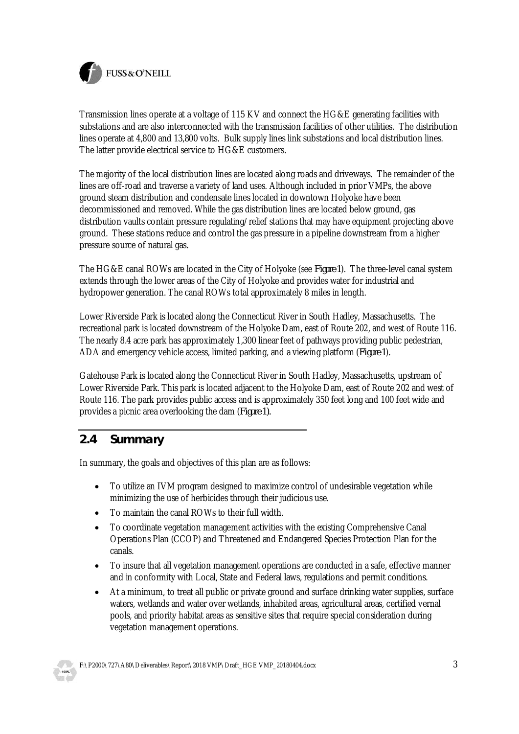

Transmission lines operate at a voltage of 115 KV and connect the HG&E generating facilities with substations and are also interconnected with the transmission facilities of other utilities. The distribution lines operate at 4,800 and 13,800 volts. Bulk supply lines link substations and local distribution lines. The latter provide electrical service to HG&E customers.

The majority of the local distribution lines are located along roads and driveways. The remainder of the lines are off-road and traverse a variety of land uses. Although included in prior VMPs, the above ground steam distribution and condensate lines located in downtown Holyoke have been decommissioned and removed. While the gas distribution lines are located below ground, gas distribution vaults contain pressure regulating/relief stations that may have equipment projecting above ground. These stations reduce and control the gas pressure in a pipeline downstream from a higher pressure source of natural gas.

The HG&E canal ROWs are located in the City of Holyoke (see *Figure 1*). The three-level canal system extends through the lower areas of the City of Holyoke and provides water for industrial and hydropower generation. The canal ROWs total approximately 8 miles in length.

Lower Riverside Park is located along the Connecticut River in South Hadley, Massachusetts. The recreational park is located downstream of the Holyoke Dam, east of Route 202, and west of Route 116. The nearly 8.4 acre park has approximately 1,300 linear feet of pathways providing public pedestrian, ADA and emergency vehicle access, limited parking, and a viewing platform (*Figure 1*).

Gatehouse Park is located along the Connecticut River in South Hadley, Massachusetts, upstream of Lower Riverside Park. This park is located adjacent to the Holyoke Dam, east of Route 202 and west of Route 116. The park provides public access and is approximately 350 feet long and 100 feet wide and provides a picnic area overlooking the dam (*Figure 1).*

#### **2.4 Summary**

In summary, the goals and objectives of this plan are as follows:

- · To utilize an IVM program designed to maximize control of undesirable vegetation while minimizing the use of herbicides through their judicious use.
- · To maintain the canal ROWs to their full width.
- · To coordinate vegetation management activities with the existing Comprehensive Canal Operations Plan (CCOP) and Threatened and Endangered Species Protection Plan for the canals.
- · To insure that all vegetation management operations are conducted in a safe, effective manner and in conformity with Local, State and Federal laws, regulations and permit conditions.
- · At a minimum, to treat all public or private ground and surface drinking water supplies, surface waters, wetlands and water over wetlands, inhabited areas, agricultural areas, certified vernal pools, and priority habitat areas as sensitive sites that require special consideration during vegetation management operations.

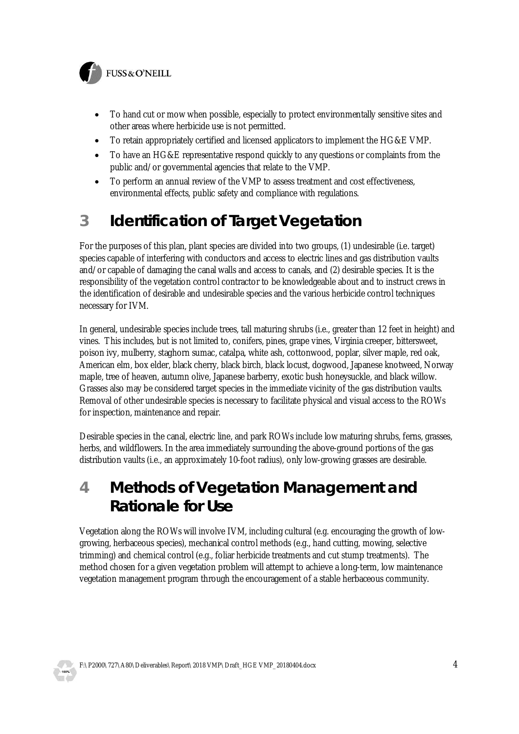

- · To hand cut or mow when possible, especially to protect environmentally sensitive sites and other areas where herbicide use is not permitted.
- · To retain appropriately certified and licensed applicators to implement the HG&E VMP.
- · To have an HG&E representative respond quickly to any questions or complaints from the public and/or governmental agencies that relate to the VMP.
- · To perform an annual review of the VMP to assess treatment and cost effectiveness, environmental effects, public safety and compliance with regulations.

# **3 Identification of Target Vegetation**

For the purposes of this plan, plant species are divided into two groups, (1) undesirable (i.e. target) species capable of interfering with conductors and access to electric lines and gas distribution vaults and/or capable of damaging the canal walls and access to canals, and (2) desirable species. It is the responsibility of the vegetation control contractor to be knowledgeable about and to instruct crews in the identification of desirable and undesirable species and the various herbicide control techniques necessary for IVM.

In general, undesirable species include trees, tall maturing shrubs (i.e., greater than 12 feet in height) and vines. This includes, but is not limited to, conifers, pines, grape vines, Virginia creeper, bittersweet, poison ivy, mulberry, staghorn sumac, catalpa, white ash, cottonwood, poplar, silver maple, red oak, American elm, box elder, black cherry, black birch, black locust, dogwood, Japanese knotweed, Norway maple, tree of heaven, autumn olive, Japanese barberry, exotic bush honeysuckle, and black willow. Grasses also may be considered target species in the immediate vicinity of the gas distribution vaults. Removal of other undesirable species is necessary to facilitate physical and visual access to the ROWs for inspection, maintenance and repair.

Desirable species in the canal, electric line, and park ROWs include low maturing shrubs, ferns, grasses, herbs, and wildflowers. In the area immediately surrounding the above-ground portions of the gas distribution vaults (i.e., an approximately 10-foot radius), only low-growing grasses are desirable.

### **4 Methods of Vegetation Management and Rationale for Use**

Vegetation along the ROWs will involve IVM, including cultural (e.g. encouraging the growth of lowgrowing, herbaceous species), mechanical control methods (e.g., hand cutting, mowing, selective trimming) and chemical control (e.g., foliar herbicide treatments and cut stump treatments). The method chosen for a given vegetation problem will attempt to achieve a long-term, low maintenance vegetation management program through the encouragement of a stable herbaceous community.

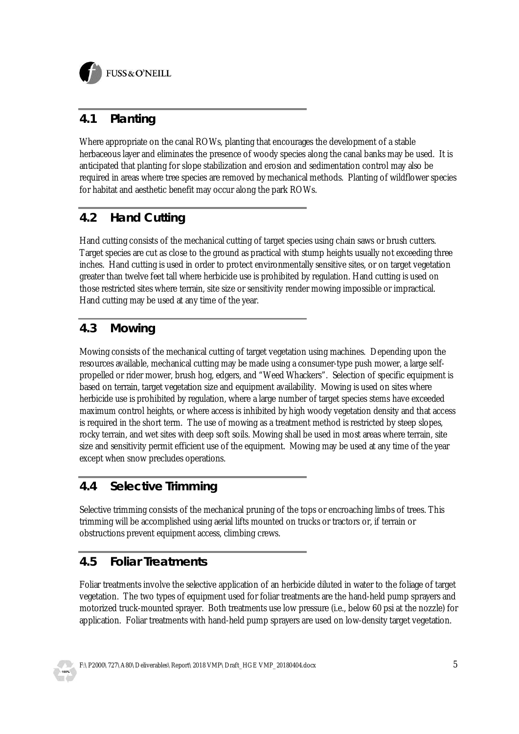

### **4.1 Planting**

Where appropriate on the canal ROWs, planting that encourages the development of a stable herbaceous layer and eliminates the presence of woody species along the canal banks may be used. It is anticipated that planting for slope stabilization and erosion and sedimentation control may also be required in areas where tree species are removed by mechanical methods. Planting of wildflower species for habitat and aesthetic benefit may occur along the park ROWs.

### **4.2 Hand Cutting**

Hand cutting consists of the mechanical cutting of target species using chain saws or brush cutters. Target species are cut as close to the ground as practical with stump heights usually not exceeding three inches. Hand cutting is used in order to protect environmentally sensitive sites, or on target vegetation greater than twelve feet tall where herbicide use is prohibited by regulation. Hand cutting is used on those restricted sites where terrain, site size or sensitivity render mowing impossible or impractical. Hand cutting may be used at any time of the year.

### **4.3 Mowing**

Mowing consists of the mechanical cutting of target vegetation using machines. Depending upon the resources available, mechanical cutting may be made using a consumer-type push mower, a large selfpropelled or rider mower, brush hog, edgers, and "Weed Whackers". Selection of specific equipment is based on terrain, target vegetation size and equipment availability. Mowing is used on sites where herbicide use is prohibited by regulation, where a large number of target species stems have exceeded maximum control heights, or where access is inhibited by high woody vegetation density and that access is required in the short term. The use of mowing as a treatment method is restricted by steep slopes, rocky terrain, and wet sites with deep soft soils. Mowing shall be used in most areas where terrain, site size and sensitivity permit efficient use of the equipment. Mowing may be used at any time of the year except when snow precludes operations.

#### **4.4 Selective Trimming**

Selective trimming consists of the mechanical pruning of the tops or encroaching limbs of trees. This trimming will be accomplished using aerial lifts mounted on trucks or tractors or, if terrain or obstructions prevent equipment access, climbing crews.

### **4.5 Foliar Treatments**

Foliar treatments involve the selective application of an herbicide diluted in water to the foliage of target vegetation. The two types of equipment used for foliar treatments are the hand-held pump sprayers and motorized truck-mounted sprayer. Both treatments use low pressure (i.e., below 60 psi at the nozzle) for application. Foliar treatments with hand-held pump sprayers are used on low-density target vegetation.

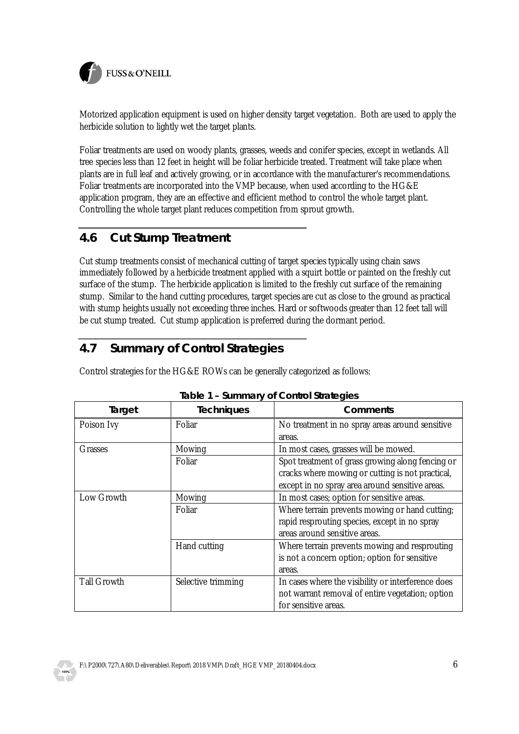

Motorized application equipment is used on higher density target vegetation. Both are used to apply the herbicide solution to lightly wet the target plants.

Foliar treatments are used on woody plants, grasses, weeds and conifer species, except in wetlands. All tree species less than 12 feet in height will be foliar herbicide treated. Treatment will take place when plants are in full leaf and actively growing, or in accordance with the manufacturer's recommendations. Foliar treatments are incorporated into the VMP because, when used according to the HG&E application program, they are an effective and efficient method to control the whole target plant. Controlling the whole target plant reduces competition from sprout growth.

#### **4.6 Cut Stump Treatment**

Cut stump treatments consist of mechanical cutting of target species typically using chain saws immediately followed by a herbicide treatment applied with a squirt bottle or painted on the freshly cut surface of the stump. The herbicide application is limited to the freshly cut surface of the remaining stump. Similar to the hand cutting procedures, target species are cut as close to the ground as practical with stump heights usually not exceeding three inches. Hard or softwoods greater than 12 feet tall will be cut stump treated. Cut stump application is preferred during the dormant period.

#### **4.7 Summary of Control Strategies**

Control strategies for the HG&E ROWs can be generally categorized as follows:

| Target             | <b>Techniques</b>  | Comments                                           |
|--------------------|--------------------|----------------------------------------------------|
| Poison Ivy         | Foliar             | No treatment in no spray areas around sensitive    |
|                    |                    | areas.                                             |
| Grasses            | Mowing             | In most cases, grasses will be mowed.              |
|                    | Foliar             | Spot treatment of grass growing along fencing or   |
|                    |                    | cracks where mowing or cutting is not practical,   |
|                    |                    | except in no spray area around sensitive areas.    |
| Low Growth         | Mowing             | In most cases; option for sensitive areas.         |
|                    | Foliar             | Where terrain prevents mowing or hand cutting;     |
|                    |                    | rapid resprouting species, except in no spray      |
|                    |                    | areas around sensitive areas.                      |
|                    | Hand cutting       | Where terrain prevents mowing and resprouting      |
|                    |                    | is not a concern option; option for sensitive      |
|                    |                    | areas.                                             |
| <b>Tall Growth</b> | Selective trimming | In cases where the visibility or interference does |
|                    |                    | not warrant removal of entire vegetation; option   |
|                    |                    | for sensitive areas.                               |

| Table 1 - Summary of Control Strategies |  |
|-----------------------------------------|--|
|                                         |  |
|                                         |  |

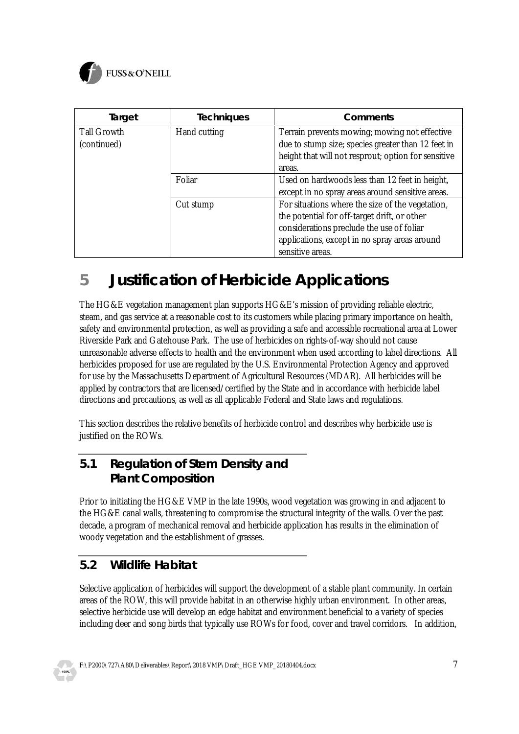

| Target                            | <b>Techniques</b> | Comments                                                                                                                                                                                                           |
|-----------------------------------|-------------------|--------------------------------------------------------------------------------------------------------------------------------------------------------------------------------------------------------------------|
| <b>Tall Growth</b><br>(continued) | Hand cutting      | Terrain prevents mowing; mowing not effective<br>due to stump size; species greater than 12 feet in<br>height that will not resprout; option for sensitive<br>areas.                                               |
|                                   | Foliar            | Used on hardwoods less than 12 feet in height,<br>except in no spray areas around sensitive areas.                                                                                                                 |
|                                   | Cut stump         | For situations where the size of the vegetation,<br>the potential for off-target drift, or other<br>considerations preclude the use of foliar<br>applications, except in no spray areas around<br>sensitive areas. |

# **5 Justification of Herbicide Applications**

The HG&E vegetation management plan supports HG&E's mission of providing reliable electric, steam, and gas service at a reasonable cost to its customers while placing primary importance on health, safety and environmental protection, as well as providing a safe and accessible recreational area at Lower Riverside Park and Gatehouse Park. The use of herbicides on rights-of-way should not cause unreasonable adverse effects to health and the environment when used according to label directions. All herbicides proposed for use are regulated by the U.S. Environmental Protection Agency and approved for use by the Massachusetts Department of Agricultural Resources (MDAR). All herbicides will be applied by contractors that are licensed/certified by the State and in accordance with herbicide label directions and precautions, as well as all applicable Federal and State laws and regulations.

This section describes the relative benefits of herbicide control and describes why herbicide use is justified on the ROWs.

### **5.1 Regulation of Stem Density and Plant Composition**

Prior to initiating the HG&E VMP in the late 1990s, wood vegetation was growing in and adjacent to the HG&E canal walls, threatening to compromise the structural integrity of the walls. Over the past decade, a program of mechanical removal and herbicide application has results in the elimination of woody vegetation and the establishment of grasses.

### **5.2 Wildlife Habitat**

Selective application of herbicides will support the development of a stable plant community. In certain areas of the ROW, this will provide habitat in an otherwise highly urban environment. In other areas, selective herbicide use will develop an edge habitat and environment beneficial to a variety of species including deer and song birds that typically use ROWs for food, cover and travel corridors. In addition,

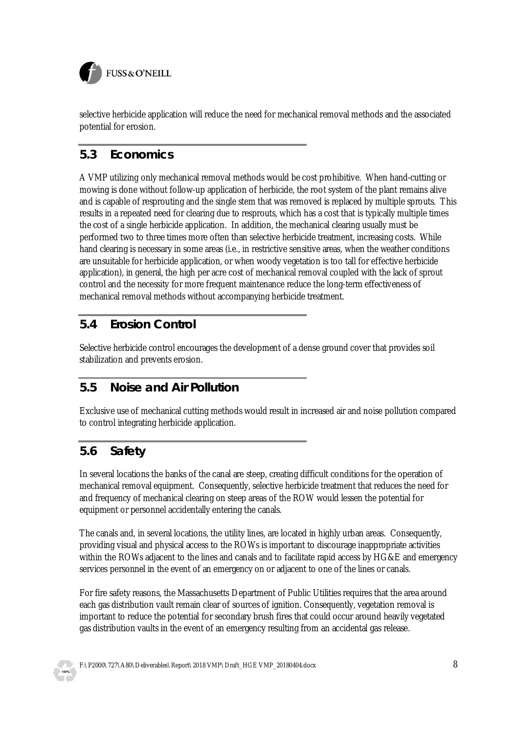

selective herbicide application will reduce the need for mechanical removal methods and the associated potential for erosion.

#### **5.3 Economics**

A VMP utilizing only mechanical removal methods would be cost prohibitive. When hand-cutting or mowing is done without follow-up application of herbicide, the root system of the plant remains alive and is capable of resprouting and the single stem that was removed is replaced by multiple sprouts. This results in a repeated need for clearing due to resprouts, which has a cost that is typically multiple times the cost of a single herbicide application. In addition, the mechanical clearing usually must be performed two to three times more often than selective herbicide treatment, increasing costs. While hand clearing is necessary in some areas (i.e., in restrictive sensitive areas, when the weather conditions are unsuitable for herbicide application, or when woody vegetation is too tall for effective herbicide application), in general, the high per acre cost of mechanical removal coupled with the lack of sprout control and the necessity for more frequent maintenance reduce the long-term effectiveness of mechanical removal methods without accompanying herbicide treatment.

#### **5.4 Erosion Control**

Selective herbicide control encourages the development of a dense ground cover that provides soil stabilization and prevents erosion.

#### **5.5 Noise and Air Pollution**

Exclusive use of mechanical cutting methods would result in increased air and noise pollution compared to control integrating herbicide application.

### **5.6 Safety**

In several locations the banks of the canal are steep, creating difficult conditions for the operation of mechanical removal equipment. Consequently, selective herbicide treatment that reduces the need for and frequency of mechanical clearing on steep areas of the ROW would lessen the potential for equipment or personnel accidentally entering the canals.

The canals and, in several locations, the utility lines, are located in highly urban areas. Consequently, providing visual and physical access to the ROWs is important to discourage inappropriate activities within the ROWs adjacent to the lines and canals and to facilitate rapid access by HG&E and emergency services personnel in the event of an emergency on or adjacent to one of the lines or canals.

For fire safety reasons, the Massachusetts Department of Public Utilities requires that the area around each gas distribution vault remain clear of sources of ignition. Consequently, vegetation removal is important to reduce the potential for secondary brush fires that could occur around heavily vegetated gas distribution vaults in the event of an emergency resulting from an accidental gas release.

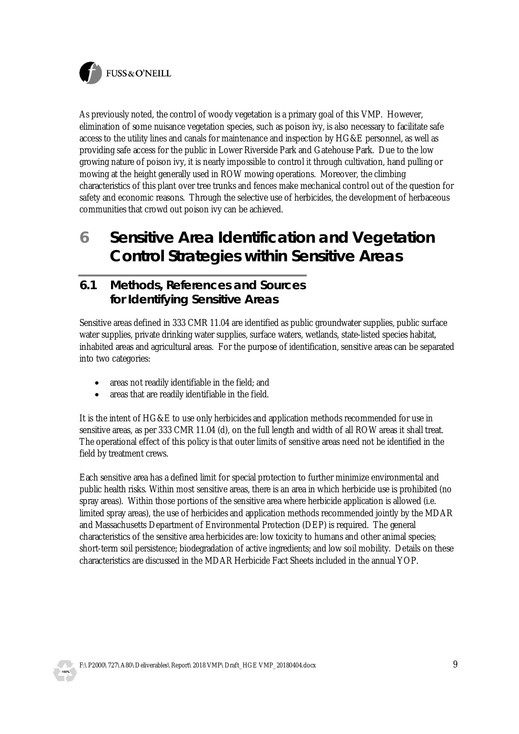

As previously noted, the control of woody vegetation is a primary goal of this VMP. However, elimination of some nuisance vegetation species, such as poison ivy, is also necessary to facilitate safe access to the utility lines and canals for maintenance and inspection by HG&E personnel, as well as providing safe access for the public in Lower Riverside Park and Gatehouse Park. Due to the low growing nature of poison ivy, it is nearly impossible to control it through cultivation, hand pulling or mowing at the height generally used in ROW mowing operations. Moreover, the climbing characteristics of this plant over tree trunks and fences make mechanical control out of the question for safety and economic reasons. Through the selective use of herbicides, the development of herbaceous communities that crowd out poison ivy can be achieved.

**6 Sensitive Area Identification and Vegetation Control Strategies within Sensitive Areas**

#### **6.1 Methods, References and Sources for Identifying Sensitive Areas**

Sensitive areas defined in 333 CMR 11.04 are identified as public groundwater supplies, public surface water supplies, private drinking water supplies, surface waters, wetlands, state-listed species habitat, inhabited areas and agricultural areas. For the purpose of identification, sensitive areas can be separated into two categories:

- areas not readily identifiable in the field; and
- areas that are readily identifiable in the field.

It is the intent of HG&E to use only herbicides and application methods recommended for use in sensitive areas, as per 333 CMR 11.04 (d), on the full length and width of all ROW areas it shall treat. The operational effect of this policy is that outer limits of sensitive areas need not be identified in the field by treatment crews.

Each sensitive area has a defined limit for special protection to further minimize environmental and public health risks. Within most sensitive areas, there is an area in which herbicide use is prohibited (no spray areas). Within those portions of the sensitive area where herbicide application is allowed (i.e. limited spray areas), the use of herbicides and application methods recommended jointly by the MDAR and Massachusetts Department of Environmental Protection (DEP) is required. The general characteristics of the sensitive area herbicides are: low toxicity to humans and other animal species; short-term soil persistence; biodegradation of active ingredients; and low soil mobility. Details on these characteristics are discussed in the MDAR Herbicide Fact Sheets included in the annual YOP.

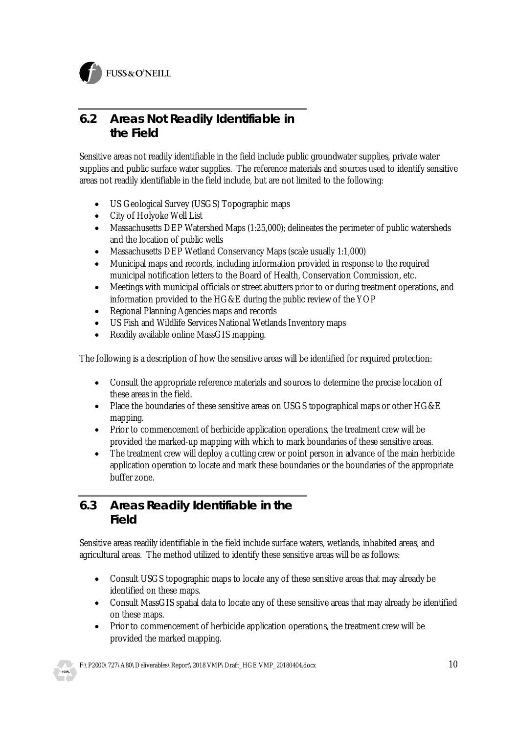

#### **6.2 Areas Not Readily Identifiable in the Field**

Sensitive areas not readily identifiable in the field include public groundwater supplies, private water supplies and public surface water supplies. The reference materials and sources used to identify sensitive areas not readily identifiable in the field include, but are not limited to the following:

- · US Geological Survey (USGS) Topographic maps
- City of Holyoke Well List
- · Massachusetts DEP Watershed Maps (1:25,000); delineates the perimeter of public watersheds and the location of public wells
- Massachusetts DEP Wetland Conservancy Maps (scale usually 1:1,000)
- · Municipal maps and records, including information provided in response to the required municipal notification letters to the Board of Health, Conservation Commission, etc.
- · Meetings with municipal officials or street abutters prior to or during treatment operations, and information provided to the HG&E during the public review of the YOP
- · Regional Planning Agencies maps and records
- · US Fish and Wildlife Services National Wetlands Inventory maps
- Readily available online MassGIS mapping.

The following is a description of how the sensitive areas will be identified for required protection:

- · Consult the appropriate reference materials and sources to determine the precise location of these areas in the field.
- · Place the boundaries of these sensitive areas on USGS topographical maps or other HG&E mapping.
- Prior to commencement of herbicide application operations, the treatment crew will be provided the marked-up mapping with which to mark boundaries of these sensitive areas.
- The treatment crew will deploy a cutting crew or point person in advance of the main herbicide application operation to locate and mark these boundaries or the boundaries of the appropriate buffer zone.

#### **6.3 Areas Readily Identifiable in the Field**

Sensitive areas readily identifiable in the field include surface waters, wetlands, inhabited areas, and agricultural areas. The method utilized to identify these sensitive areas will be as follows:

- Consult USGS topographic maps to locate any of these sensitive areas that may already be identified on these maps.
- Consult MassGIS spatial data to locate any of these sensitive areas that may already be identified on these maps.
- · Prior to commencement of herbicide application operations, the treatment crew will be provided the marked mapping.

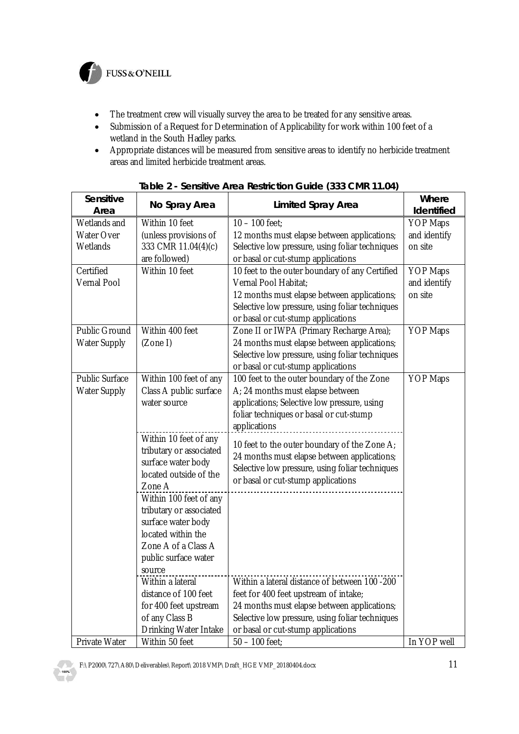

FUSS & O'NEILL

- The treatment crew will visually survey the area to be treated for any sensitive areas.
- · Submission of a Request for Determination of Applicability for work within 100 feet of a wetland in the South Hadley parks.
- · Appropriate distances will be measured from sensitive areas to identify no herbicide treatment areas and limited herbicide treatment areas.

| Sensitive<br>Area     | No Spray Area                                | Limited Spray Area                              | Where<br>Identified |
|-----------------------|----------------------------------------------|-------------------------------------------------|---------------------|
| Wetlands and          | Within 10 feet                               | $10 - 100$ feet;                                | <b>YOP Maps</b>     |
| Water Over            | (unless provisions of                        | 12 months must elapse between applications;     | and identify        |
| Wetlands              | 333 CMR 11.04(4)(c)                          | Selective low pressure, using foliar techniques | on site             |
|                       | are followed)                                | or basal or cut-stump applications              |                     |
| Certified             | Within 10 feet                               | 10 feet to the outer boundary of any Certified  | <b>YOP Maps</b>     |
| Vernal Pool           |                                              | Vernal Pool Habitat;                            | and identify        |
|                       |                                              | 12 months must elapse between applications;     | on site             |
|                       |                                              | Selective low pressure, using foliar techniques |                     |
|                       |                                              | or basal or cut-stump applications              |                     |
| <b>Public Ground</b>  | Within 400 feet                              | Zone II or IWPA (Primary Recharge Area);        | <b>YOP Maps</b>     |
| <b>Water Supply</b>   | (Zone I)                                     | 24 months must elapse between applications;     |                     |
|                       |                                              | Selective low pressure, using foliar techniques |                     |
|                       |                                              | or basal or cut-stump applications              |                     |
| <b>Public Surface</b> | Within 100 feet of any                       | 100 feet to the outer boundary of the Zone      | <b>YOP Maps</b>     |
| <b>Water Supply</b>   | Class A public surface                       | A; 24 months must elapse between                |                     |
|                       | water source                                 | applications; Selective low pressure, using     |                     |
|                       |                                              | foliar techniques or basal or cut-stump         |                     |
|                       |                                              | applications                                    |                     |
|                       | Within 10 feet of any                        | 10 feet to the outer boundary of the Zone A;    |                     |
|                       | tributary or associated                      | 24 months must elapse between applications;     |                     |
|                       | surface water body<br>located outside of the | Selective low pressure, using foliar techniques |                     |
|                       | Zone A                                       | or basal or cut-stump applications              |                     |
|                       | Within 100 feet of any                       |                                                 |                     |
|                       | tributary or associated                      |                                                 |                     |
|                       | surface water body                           |                                                 |                     |
|                       | located within the                           |                                                 |                     |
|                       | Zone A of a Class A                          |                                                 |                     |
|                       | public surface water                         |                                                 |                     |
|                       | source                                       |                                                 |                     |
|                       | Within a lateral                             | Within a lateral distance of between 100 -200   |                     |
|                       | distance of 100 feet                         | feet for 400 feet upstream of intake;           |                     |
|                       | for 400 feet upstream                        | 24 months must elapse between applications;     |                     |
|                       | of any Class B                               | Selective low pressure, using foliar techniques |                     |
|                       | Drinking Water Intake                        | or basal or cut-stump applications              |                     |
| Private Water         | Within 50 feet                               | $50 - 100$ feet;                                | In YOP well         |

**Table 2 - Sensitive Area Restriction Guide (333 CMR 11.04)**

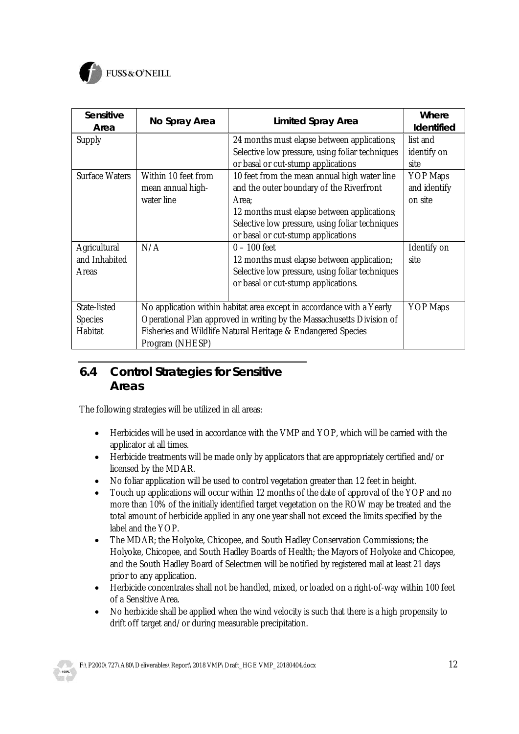

| Sensitive<br>Area                                | No Spray Area                                                                                                                                                                                                                     | Limited Spray Area                                                                                                                                                                                                                                                                                                                                                                | Where<br>Identified                                                           |
|--------------------------------------------------|-----------------------------------------------------------------------------------------------------------------------------------------------------------------------------------------------------------------------------------|-----------------------------------------------------------------------------------------------------------------------------------------------------------------------------------------------------------------------------------------------------------------------------------------------------------------------------------------------------------------------------------|-------------------------------------------------------------------------------|
| Supply<br>Surface Waters                         | Within 10 feet from<br>mean annual high-<br>water line                                                                                                                                                                            | 24 months must elapse between applications;<br>Selective low pressure, using foliar techniques<br>or basal or cut-stump applications<br>10 feet from the mean annual high water line<br>and the outer boundary of the Riverfront<br>Area:<br>12 months must elapse between applications;<br>Selective low pressure, using foliar techniques<br>or basal or cut-stump applications | list and<br>identify on<br>site<br><b>YOP Maps</b><br>and identify<br>on site |
| Agricultural<br>and Inhabited<br>Areas           | N/A                                                                                                                                                                                                                               | $0 - 100$ feet<br>12 months must elapse between application;<br>Selective low pressure, using foliar techniques<br>or basal or cut-stump applications.                                                                                                                                                                                                                            | Identify on<br>site                                                           |
| State-listed<br><b>Species</b><br><b>Habitat</b> | No application within habitat area except in accordance with a Yearly<br>Operational Plan approved in writing by the Massachusetts Division of<br>Fisheries and Wildlife Natural Heritage & Endangered Species<br>Program (NHESP) | <b>YOP Maps</b>                                                                                                                                                                                                                                                                                                                                                                   |                                                                               |

#### **6.4 Control Strategies for Sensitive Areas**

The following strategies will be utilized in all areas:

- · Herbicides will be used in accordance with the VMP and YOP, which will be carried with the applicator at all times.
- · Herbicide treatments will be made only by applicators that are appropriately certified and/or licensed by the MDAR.
- · No foliar application will be used to control vegetation greater than 12 feet in height.
- Touch up applications will occur within 12 months of the date of approval of the YOP and no more than 10% of the initially identified target vegetation on the ROW may be treated and the total amount of herbicide applied in any one year shall not exceed the limits specified by the label and the YOP.
- · The MDAR; the Holyoke, Chicopee, and South Hadley Conservation Commissions; the Holyoke, Chicopee, and South Hadley Boards of Health; the Mayors of Holyoke and Chicopee, and the South Hadley Board of Selectmen will be notified by registered mail at least 21 days prior to any application.
- · Herbicide concentrates shall not be handled, mixed, or loaded on a right-of-way within 100 feet of a Sensitive Area.
- No herbicide shall be applied when the wind velocity is such that there is a high propensity to drift off target and/or during measurable precipitation.

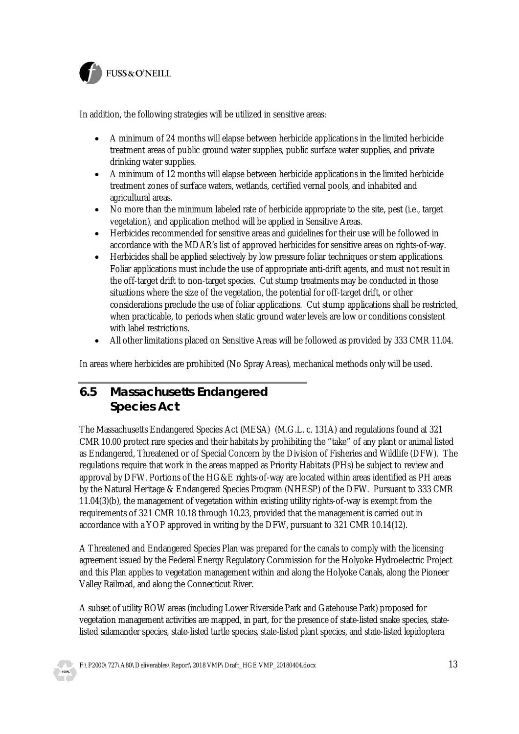

In addition, the following strategies will be utilized in sensitive areas:

- · A minimum of 24 months will elapse between herbicide applications in the limited herbicide treatment areas of public ground water supplies, public surface water supplies, and private drinking water supplies.
- · A minimum of 12 months will elapse between herbicide applications in the limited herbicide treatment zones of surface waters, wetlands, certified vernal pools, and inhabited and agricultural areas.
- · No more than the minimum labeled rate of herbicide appropriate to the site, pest (i.e., target vegetation), and application method will be applied in Sensitive Areas.
- · Herbicides recommended for sensitive areas and guidelines for their use will be followed in accordance with the MDAR's list of approved herbicides for sensitive areas on rights-of-way.
- · Herbicides shall be applied selectively by low pressure foliar techniques or stem applications. Foliar applications must include the use of appropriate anti-drift agents, and must not result in the off-target drift to non-target species. Cut stump treatments may be conducted in those situations where the size of the vegetation, the potential for off-target drift, or other considerations preclude the use of foliar applications. Cut stump applications shall be restricted, when practicable, to periods when static ground water levels are low or conditions consistent with label restrictions.
- · All other limitations placed on Sensitive Areas will be followed as provided by 333 CMR 11.04.

In areas where herbicides are prohibited (No Spray Areas), mechanical methods only will be used.

#### **6.5 Massachusetts Endangered Species Act**

The Massachusetts Endangered Species Act (MESA) (M.G.L. c. 131A) and regulations found at 321 CMR 10.00 protect rare species and their habitats by prohibiting the "take" of any plant or animal listed as Endangered, Threatened or of Special Concern by the Division of Fisheries and Wildlife (DFW). The regulations require that work in the areas mapped as Priority Habitats (PHs) be subject to review and approval by DFW. Portions of the HG&E rights-of-way are located within areas identified as PH areas by the Natural Heritage & Endangered Species Program (NHESP) of the DFW. Pursuant to 333 CMR 11.04(3)(b), the management of vegetation within existing utility rights-of-way is exempt from the requirements of 321 CMR 10.18 through 10.23, provided that the management is carried out in accordance with a YOP approved in writing by the DFW, pursuant to 321 CMR 10.14(12).

A Threatened and Endangered Species Plan was prepared for the canals to comply with the licensing agreement issued by the Federal Energy Regulatory Commission for the Holyoke Hydroelectric Project and this Plan applies to vegetation management within and along the Holyoke Canals, along the Pioneer Valley Railroad, and along the Connecticut River.

A subset of utility ROW areas (including Lower Riverside Park and Gatehouse Park) proposed for vegetation management activities are mapped, in part, for the presence of state-listed snake species, statelisted salamander species, state-listed turtle species, state-listed plant species, and state-listed lepidoptera

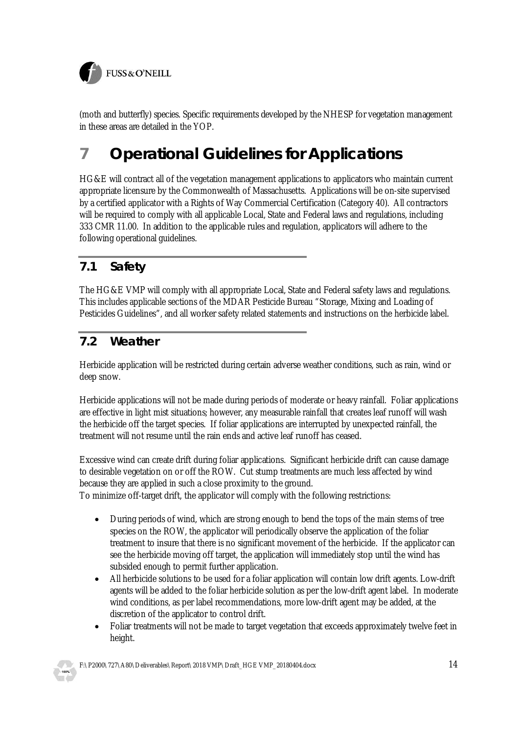

(moth and butterfly) species. Specific requirements developed by the NHESP for vegetation management in these areas are detailed in the YOP.

# **7 Operational Guidelines for Applications**

HG&E will contract all of the vegetation management applications to applicators who maintain current appropriate licensure by the Commonwealth of Massachusetts. Applications will be on-site supervised by a certified applicator with a Rights of Way Commercial Certification (Category 40). All contractors will be required to comply with all applicable Local, State and Federal laws and regulations, including 333 CMR 11.00. In addition to the applicable rules and regulation, applicators will adhere to the following operational guidelines.

### **7.1 Safety**

The HG&E VMP will comply with all appropriate Local, State and Federal safety laws and regulations. This includes applicable sections of the MDAR Pesticide Bureau "Storage, Mixing and Loading of Pesticides Guidelines", and all worker safety related statements and instructions on the herbicide label.

#### **7.2 Weather**

Herbicide application will be restricted during certain adverse weather conditions, such as rain, wind or deep snow.

Herbicide applications will not be made during periods of moderate or heavy rainfall. Foliar applications are effective in light mist situations; however, any measurable rainfall that creates leaf runoff will wash the herbicide off the target species. If foliar applications are interrupted by unexpected rainfall, the treatment will not resume until the rain ends and active leaf runoff has ceased.

Excessive wind can create drift during foliar applications. Significant herbicide drift can cause damage to desirable vegetation on or off the ROW. Cut stump treatments are much less affected by wind because they are applied in such a close proximity to the ground. To minimize off-target drift, the applicator will comply with the following restrictions:

- · During periods of wind, which are strong enough to bend the tops of the main stems of tree species on the ROW, the applicator will periodically observe the application of the foliar treatment to insure that there is no significant movement of the herbicide. If the applicator can see the herbicide moving off target, the application will immediately stop until the wind has subsided enough to permit further application.
- All herbicide solutions to be used for a foliar application will contain low drift agents. Low-drift agents will be added to the foliar herbicide solution as per the low-drift agent label. In moderate wind conditions, as per label recommendations, more low-drift agent may be added, at the discretion of the applicator to control drift.
- Foliar treatments will not be made to target vegetation that exceeds approximately twelve feet in height.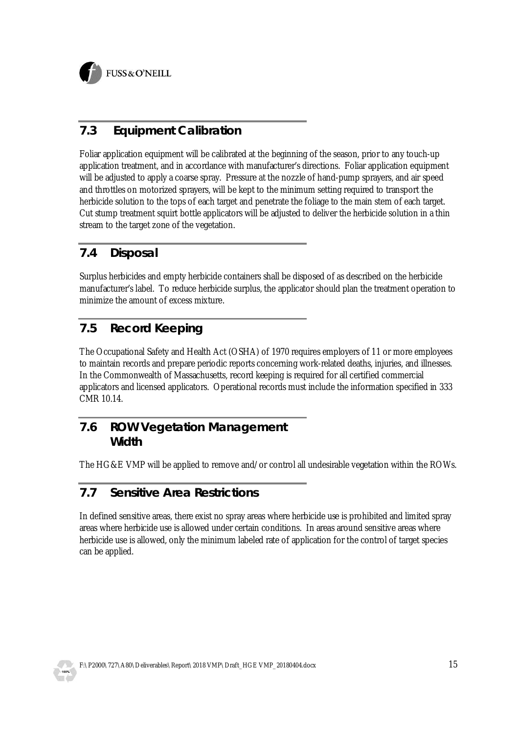

### **7.3 Equipment Calibration**

Foliar application equipment will be calibrated at the beginning of the season, prior to any touch-up application treatment, and in accordance with manufacturer's directions. Foliar application equipment will be adjusted to apply a coarse spray. Pressure at the nozzle of hand-pump sprayers, and air speed and throttles on motorized sprayers, will be kept to the minimum setting required to transport the herbicide solution to the tops of each target and penetrate the foliage to the main stem of each target. Cut stump treatment squirt bottle applicators will be adjusted to deliver the herbicide solution in a thin stream to the target zone of the vegetation.

#### **7.4 Disposal**

Surplus herbicides and empty herbicide containers shall be disposed of as described on the herbicide manufacturer's label. To reduce herbicide surplus, the applicator should plan the treatment operation to minimize the amount of excess mixture.

#### **7.5 Record Keeping**

The Occupational Safety and Health Act (OSHA) of 1970 requires employers of 11 or more employees to maintain records and prepare periodic reports concerning work-related deaths, injuries, and illnesses. In the Commonwealth of Massachusetts, record keeping is required for all certified commercial applicators and licensed applicators. Operational records must include the information specified in 333 CMR 10.14.

#### **7.6 ROW Vegetation Management Width**

The HG&E VMP will be applied to remove and/or control all undesirable vegetation within the ROWs.

#### **7.7 Sensitive Area Restrictions**

In defined sensitive areas, there exist no spray areas where herbicide use is prohibited and limited spray areas where herbicide use is allowed under certain conditions. In areas around sensitive areas where herbicide use is allowed, only the minimum labeled rate of application for the control of target species can be applied.

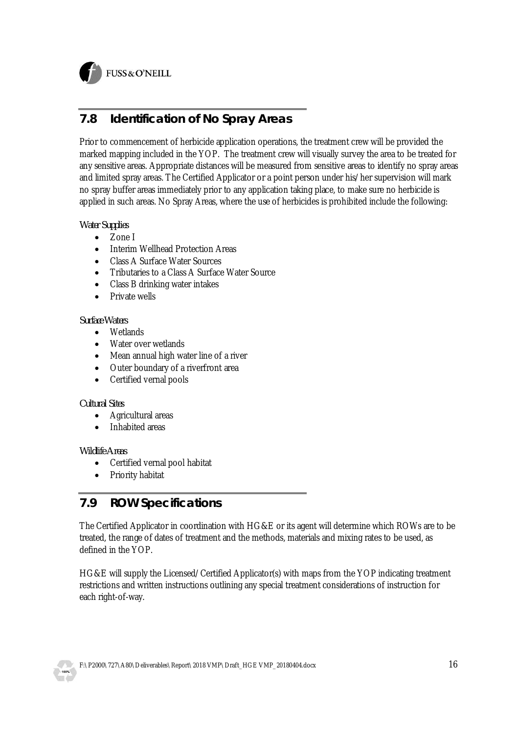

FUSS & O'NEILL

#### **7.8 Identification of No Spray Areas**

Prior to commencement of herbicide application operations, the treatment crew will be provided the marked mapping included in the YOP. The treatment crew will visually survey the area to be treated for any sensitive areas. Appropriate distances will be measured from sensitive areas to identify no spray areas and limited spray areas. The Certified Applicator or a point person under his/her supervision will mark no spray buffer areas immediately prior to any application taking place, to make sure no herbicide is applied in such areas. No Spray Areas, where the use of herbicides is prohibited include the following:

*Water Supplies*

- · Zone I
- · Interim Wellhead Protection Areas
- · Class A Surface Water Sources
- · Tributaries to a Class A Surface Water Source
- · Class B drinking water intakes
- Private wells

#### *Surface Waters*

- · Wetlands
- · Water over wetlands
- · Mean annual high water line of a river
- · Outer boundary of a riverfront area
- Certified vernal pools

#### *Cultural Sites*

- · Agricultural areas
- Inhabited areas

#### *Wildlife Areas*

- · Certified vernal pool habitat
- Priority habitat

#### **7.9 ROW Specifications**

The Certified Applicator in coordination with HG&E or its agent will determine which ROWs are to be treated, the range of dates of treatment and the methods, materials and mixing rates to be used, as defined in the YOP.

HG&E will supply the Licensed/Certified Applicator(s) with maps from the YOP indicating treatment restrictions and written instructions outlining any special treatment considerations of instruction for each right-of-way.

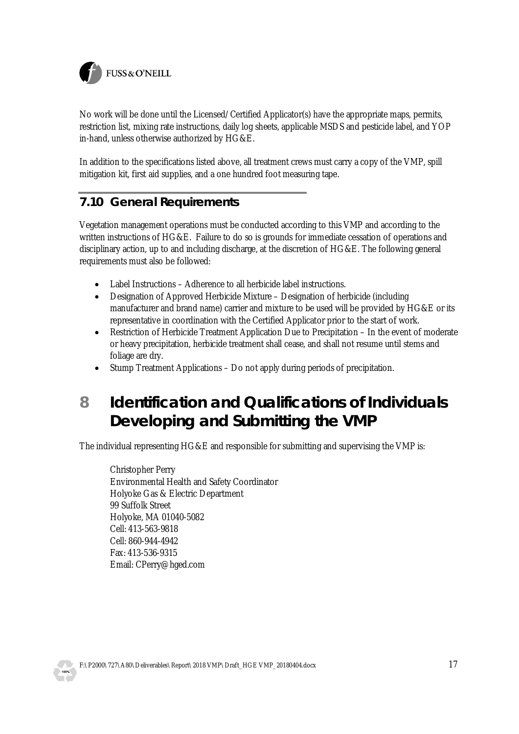

No work will be done until the Licensed/Certified Applicator(s) have the appropriate maps, permits, restriction list, mixing rate instructions, daily log sheets, applicable MSDS and pesticide label, and YOP in-hand, unless otherwise authorized by HG&E.

In addition to the specifications listed above, all treatment crews must carry a copy of the VMP, spill mitigation kit, first aid supplies, and a one hundred foot measuring tape.

#### **7.10 General Requirements**

Vegetation management operations must be conducted according to this VMP and according to the written instructions of HG&E. Failure to do so is grounds for immediate cessation of operations and disciplinary action, up to and including discharge, at the discretion of HG&E. The following general requirements must also be followed:

- Label Instructions Adherence to all herbicide label instructions.
- · Designation of Approved Herbicide Mixture Designation of herbicide (including manufacturer and brand name) carrier and mixture to be used will be provided by HG&E or its representative in coordination with the Certified Applicator prior to the start of work.
- · Restriction of Herbicide Treatment Application Due to Precipitation In the event of moderate or heavy precipitation, herbicide treatment shall cease, and shall not resume until stems and foliage are dry.
- Stump Treatment Applications Do not apply during periods of precipitation.
- **8 Identification and Qualifications of Individuals Developing and Submitting the VMP**

The individual representing HG&E and responsible for submitting and supervising the VMP is:

Christopher Perry Environmental Health and Safety Coordinator Holyoke Gas & Electric Department 99 Suffolk Street Holyoke, MA 01040-5082 Cell: 413-563-9818 Cell: 860-944-4942 Fax: 413-536-9315 Email: CPerry@hged.com

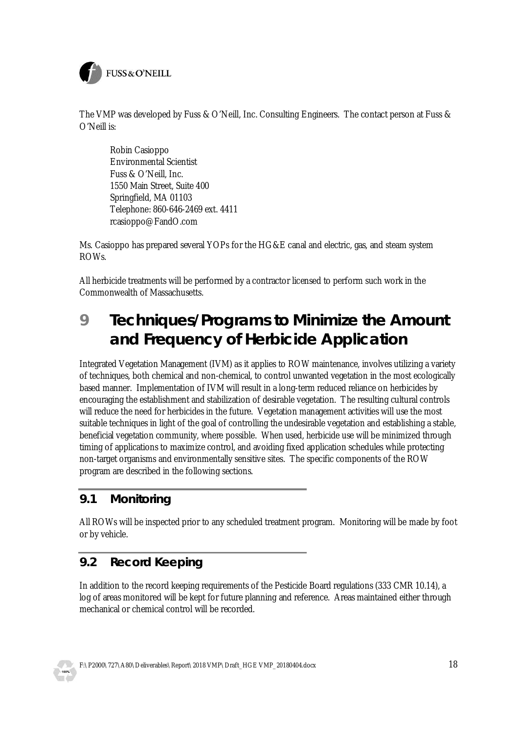

The VMP was developed by Fuss & O'Neill, Inc. Consulting Engineers. The contact person at Fuss & O'Neill is:

Robin Casioppo Environmental Scientist Fuss & O'Neill, Inc. 1550 Main Street, Suite 400 Springfield, MA 01103 Telephone: 860-646-2469 ext. 4411 rcasioppo@FandO.com

Ms. Casioppo has prepared several YOPs for the HG&E canal and electric, gas, and steam system ROWs.

All herbicide treatments will be performed by a contractor licensed to perform such work in the Commonwealth of Massachusetts.

## **9 Techniques/Programs to Minimize the Amount and Frequency of Herbicide Application**

Integrated Vegetation Management (IVM) as it applies to ROW maintenance, involves utilizing a variety of techniques, both chemical and non-chemical, to control unwanted vegetation in the most ecologically based manner. Implementation of IVM will result in a long-term reduced reliance on herbicides by encouraging the establishment and stabilization of desirable vegetation. The resulting cultural controls will reduce the need for herbicides in the future. Vegetation management activities will use the most suitable techniques in light of the goal of controlling the undesirable vegetation and establishing a stable, beneficial vegetation community, where possible. When used, herbicide use will be minimized through timing of applications to maximize control, and avoiding fixed application schedules while protecting non-target organisms and environmentally sensitive sites. The specific components of the ROW program are described in the following sections.

#### **9.1 Monitoring**

All ROWs will be inspected prior to any scheduled treatment program. Monitoring will be made by foot or by vehicle.

#### **9.2 Record Keeping**

In addition to the record keeping requirements of the Pesticide Board regulations (333 CMR 10.14), a log of areas monitored will be kept for future planning and reference. Areas maintained either through mechanical or chemical control will be recorded.



F:\P2000\727\A80\Deliverables\Report\2018 VMP\Draft\_HGE VMP\_20180404.docx 18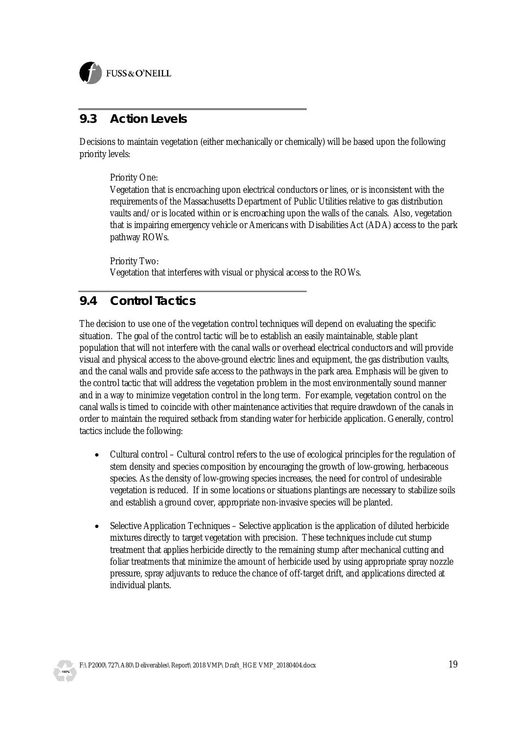

#### **9.3 Action Levels**

Decisions to maintain vegetation (either mechanically or chemically) will be based upon the following priority levels:

Priority One:

Vegetation that is encroaching upon electrical conductors or lines, or is inconsistent with the requirements of the Massachusetts Department of Public Utilities relative to gas distribution vaults and/or is located within or is encroaching upon the walls of the canals. Also, vegetation that is impairing emergency vehicle or Americans with Disabilities Act (ADA) access to the park pathway ROWs.

Priority Two: Vegetation that interferes with visual or physical access to the ROWs.

#### **9.4 Control Tactics**

The decision to use one of the vegetation control techniques will depend on evaluating the specific situation. The goal of the control tactic will be to establish an easily maintainable, stable plant population that will not interfere with the canal walls or overhead electrical conductors and will provide visual and physical access to the above-ground electric lines and equipment, the gas distribution vaults, and the canal walls and provide safe access to the pathways in the park area. Emphasis will be given to the control tactic that will address the vegetation problem in the most environmentally sound manner and in a way to minimize vegetation control in the long term. For example, vegetation control on the canal walls is timed to coincide with other maintenance activities that require drawdown of the canals in order to maintain the required setback from standing water for herbicide application. Generally, control tactics include the following:

- · Cultural control Cultural control refers to the use of ecological principles for the regulation of stem density and species composition by encouraging the growth of low-growing, herbaceous species. As the density of low-growing species increases, the need for control of undesirable vegetation is reduced. If in some locations or situations plantings are necessary to stabilize soils and establish a ground cover, appropriate non-invasive species will be planted.
- Selective Application Techniques Selective application is the application of diluted herbicide mixtures directly to target vegetation with precision. These techniques include cut stump treatment that applies herbicide directly to the remaining stump after mechanical cutting and foliar treatments that minimize the amount of herbicide used by using appropriate spray nozzle pressure, spray adjuvants to reduce the chance of off-target drift, and applications directed at individual plants.

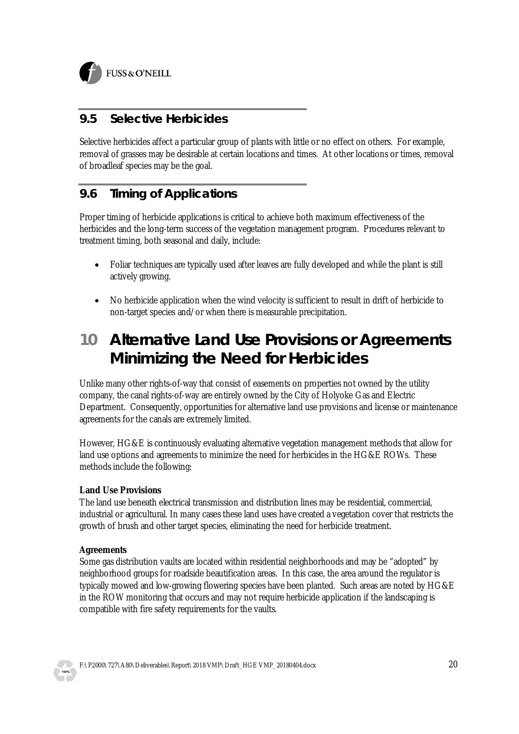

#### **9.5 Selective Herbicides**

Selective herbicides affect a particular group of plants with little or no effect on others. For example, removal of grasses may be desirable at certain locations and times. At other locations or times, removal of broadleaf species may be the goal.

#### **9.6 Timing of Applications**

Proper timing of herbicide applications is critical to achieve both maximum effectiveness of the herbicides and the long-term success of the vegetation management program. Procedures relevant to treatment timing, both seasonal and daily, include:

- Foliar techniques are typically used after leaves are fully developed and while the plant is still actively growing.
- · No herbicide application when the wind velocity is sufficient to result in drift of herbicide to non-target species and/or when there is measurable precipitation.

## **10 Alternative Land Use Provisions or Agreements Minimizing the Need for Herbicides**

Unlike many other rights-of-way that consist of easements on properties not owned by the utility company, the canal rights-of-way are entirely owned by the City of Holyoke Gas and Electric Department. Consequently, opportunities for alternative land use provisions and license or maintenance agreements for the canals are extremely limited.

However, HG&E is continuously evaluating alternative vegetation management methods that allow for land use options and agreements to minimize the need for herbicides in the HG&E ROWs. These methods include the following:

#### **Land Use Provisions**

The land use beneath electrical transmission and distribution lines may be residential, commercial, industrial or agricultural. In many cases these land uses have created a vegetation cover that restricts the growth of brush and other target species, eliminating the need for herbicide treatment.

#### **Agreements**

Some gas distribution vaults are located within residential neighborhoods and may be "adopted" by neighborhood groups for roadside beautification areas. In this case, the area around the regulator is typically mowed and low-growing flowering species have been planted. Such areas are noted by HG&E in the ROW monitoring that occurs and may not require herbicide application if the landscaping is compatible with fire safety requirements for the vaults.

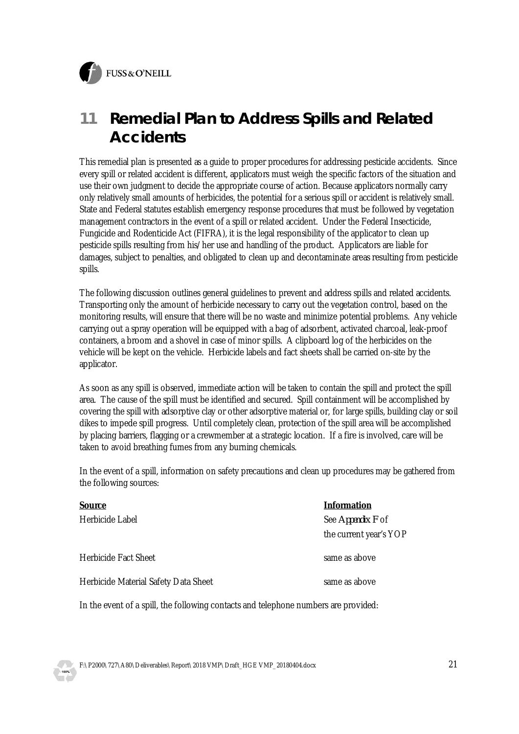FUSS & O'NEILL



## **11 Remedial Plan to Address Spills and Related Accidents**

This remedial plan is presented as a guide to proper procedures for addressing pesticide accidents. Since every spill or related accident is different, applicators must weigh the specific factors of the situation and use their own judgment to decide the appropriate course of action. Because applicators normally carry only relatively small amounts of herbicides, the potential for a serious spill or accident is relatively small. State and Federal statutes establish emergency response procedures that must be followed by vegetation management contractors in the event of a spill or related accident. Under the Federal Insecticide, Fungicide and Rodenticide Act (FIFRA), it is the legal responsibility of the applicator to clean up pesticide spills resulting from his/her use and handling of the product. Applicators are liable for damages, subject to penalties, and obligated to clean up and decontaminate areas resulting from pesticide spills.

The following discussion outlines general guidelines to prevent and address spills and related accidents. Transporting only the amount of herbicide necessary to carry out the vegetation control, based on the monitoring results, will ensure that there will be no waste and minimize potential problems. Any vehicle carrying out a spray operation will be equipped with a bag of adsorbent, activated charcoal, leak-proof containers, a broom and a shovel in case of minor spills. A clipboard log of the herbicides on the vehicle will be kept on the vehicle. Herbicide labels and fact sheets shall be carried on-site by the applicator.

As soon as any spill is observed, immediate action will be taken to contain the spill and protect the spill area. The cause of the spill must be identified and secured. Spill containment will be accomplished by covering the spill with adsorptive clay or other adsorptive material or, for large spills, building clay or soil dikes to impede spill progress. Until completely clean, protection of the spill area will be accomplished by placing barriers, flagging or a crewmember at a strategic location. If a fire is involved, care will be taken to avoid breathing fumes from any burning chemicals.

In the event of a spill, information on safety precautions and clean up procedures may be gathered from the following sources:

| Source                               | Information            |
|--------------------------------------|------------------------|
| Herbicide Label                      | See Appendix F of      |
|                                      | the current year's YOP |
| Herbicide Fact Sheet                 | same as above          |
| Herbicide Material Safety Data Sheet | same as above          |
|                                      |                        |

In the event of a spill, the following contacts and telephone numbers are provided: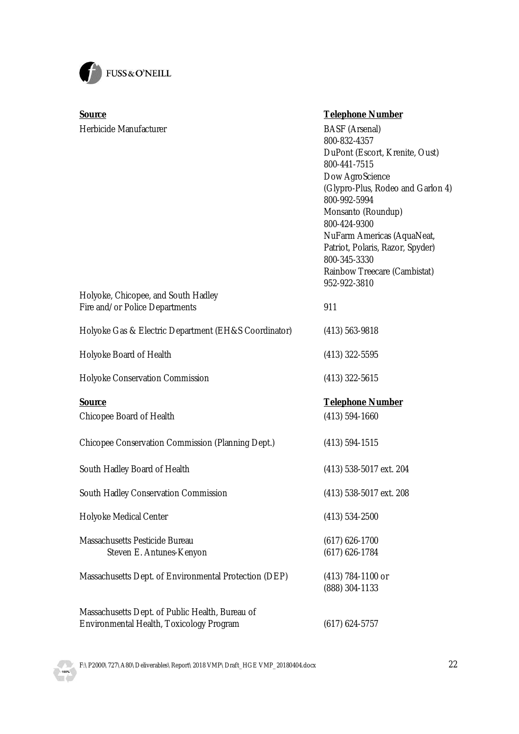

| Source                                                                                      | <b>Telephone Number</b>                           |
|---------------------------------------------------------------------------------------------|---------------------------------------------------|
| Herbicide Manufacturer                                                                      | <b>BASF</b> (Arsenal)                             |
|                                                                                             | 800-832-4357                                      |
|                                                                                             | DuPont (Escort, Krenite, Oust)<br>800-441-7515    |
|                                                                                             |                                                   |
|                                                                                             | Dow AgroScience                                   |
|                                                                                             | (Glypro-Plus, Rodeo and Garlon 4)<br>800-992-5994 |
|                                                                                             | Monsanto (Roundup)                                |
|                                                                                             | 800-424-9300                                      |
|                                                                                             | NuFarm Americas (AquaNeat,                        |
|                                                                                             | Patriot, Polaris, Razor, Spyder)                  |
|                                                                                             | 800-345-3330                                      |
|                                                                                             | Rainbow Treecare (Cambistat)                      |
|                                                                                             | 952-922-3810                                      |
| Holyoke, Chicopee, and South Hadley                                                         |                                                   |
| Fire and/or Police Departments                                                              | 911                                               |
| Holyoke Gas & Electric Department (EH&S Coordinator)                                        | $(413) 563 - 9818$                                |
|                                                                                             |                                                   |
| Holyoke Board of Health                                                                     | $(413)$ 322-5595                                  |
| Holyoke Conservation Commission                                                             | $(413)$ 322-5615                                  |
|                                                                                             |                                                   |
| Source                                                                                      | <b>Telephone Number</b>                           |
| Chicopee Board of Health                                                                    | $(413) 594 - 1660$                                |
| Chicopee Conservation Commission (Planning Dept.)                                           | $(413) 594 - 1515$                                |
|                                                                                             |                                                   |
| South Hadley Board of Health                                                                | (413) 538-5017 ext. 204                           |
| South Hadley Conservation Commission                                                        | (413) 538-5017 ext. 208                           |
|                                                                                             |                                                   |
| Holyoke Medical Center                                                                      | $(413) 534 - 2500$                                |
| Massachusetts Pesticide Bureau                                                              | $(617)$ 626-1700                                  |
| Steven E. Antunes-Kenyon                                                                    | $(617)$ 626-1784                                  |
| Massachusetts Dept. of Environmental Protection (DEP)                                       | (413) 784-1100 or                                 |
|                                                                                             | (888) 304-1133                                    |
|                                                                                             |                                                   |
| Massachusetts Dept. of Public Health, Bureau of<br>Environmental Health, Toxicology Program | $(617)$ 624-5757                                  |
|                                                                                             |                                                   |

F:\P2000\727\A80\Deliverables\Report\2018 VMP\Draft\_HGE VMP\_20180404.docx 22

**JD** 100%